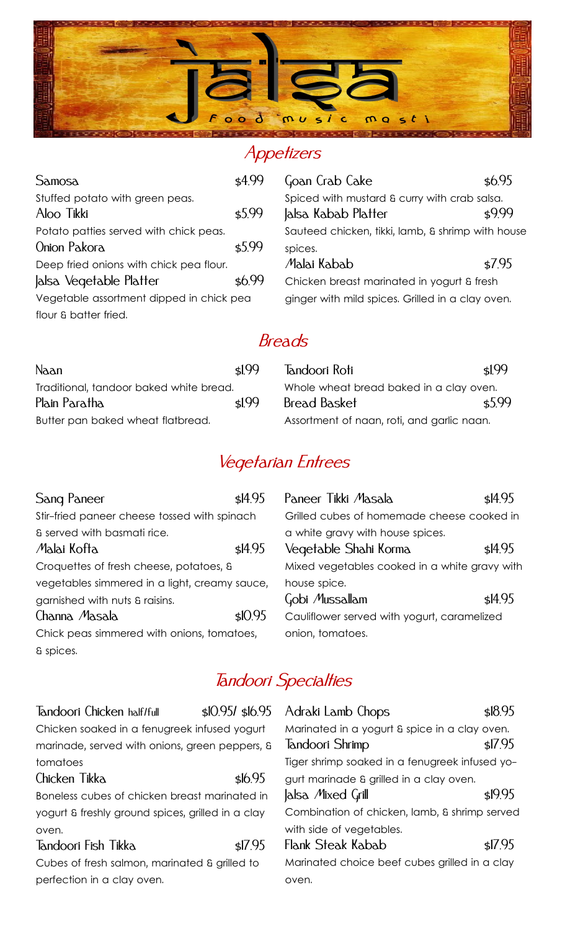

#### Appetizers

| Samosa                                   | \$4.99 | Goan Crab Cake                                    | \$6.95 |
|------------------------------------------|--------|---------------------------------------------------|--------|
| Stuffed potato with green peas.          |        | Spiced with mustard & curry with crab salsa.      |        |
| Aloo Tikki                               | \$5.99 | Jalsa Kabab Platter                               | \$999  |
| Potato patties served with chick peas.   |        | Sauteed chicken, tikki, lamb, & shrimp with house |        |
| Onion Pakora                             | \$5.99 | spices.                                           |        |
| Deep fried onions with chick pea flour.  |        | Malai Kabab                                       | \$7.95 |
| Jalsa Vegetable Platter                  | \$6.99 | Chicken breast marinated in yogurt & fresh        |        |
| Vegetable assortment dipped in chick pea |        | ginger with mild spices. Grilled in a clay oven.  |        |
| flour & batter fried.                    |        |                                                   |        |
|                                          |        |                                                   |        |

#### Breads

| Naan                                    | sl99 | Tandoori Roti                              | sl.99              |
|-----------------------------------------|------|--------------------------------------------|--------------------|
| Traditional, tandoor baked white bread. |      | Whole wheat bread baked in a clay oven.    |                    |
| Plain Paratha                           | sl99 | <b>Bread Basket</b>                        | $\frac{1}{2}$ 5.99 |
| Butter pan baked wheat flatbread.       |      | Assortment of naan, roti, and garlic naan. |                    |

# Vegetarian Entrees

| Sang Paneer                                   | \$14.95 |
|-----------------------------------------------|---------|
| Stir-fried paneer cheese tossed with spinach  |         |
| & served with basmati rice.                   |         |
| Malai Kofta                                   | \$14.95 |
| Croquettes of fresh cheese, potatoes, &       |         |
| vegetables simmered in a light, creamy sauce, |         |
| garnished with nuts & raisins.                |         |
| Channa Masala                                 | \$10.95 |
| Chick peas simmered with onions, tomatoes,    |         |
| & spices.                                     |         |

| Paneer Tikki Masala                           | $\frac{1495}{ }$ |  |  |
|-----------------------------------------------|------------------|--|--|
| Grilled cubes of homemade cheese cooked in    |                  |  |  |
| a white gravy with house spices.              |                  |  |  |
| Vegetable Shahi Korma                         | \$14.95          |  |  |
| Mixed vegetables cooked in a white gravy with |                  |  |  |
| house spice.                                  |                  |  |  |
| Gobi Mussallam                                | \$14.95          |  |  |
| Cauliflower served with yogurt, caramelized   |                  |  |  |
| onion, tomatoes.                              |                  |  |  |

## Tandoori Specialties

| Tandoori Chicken half/full                     | $$10.951$ $$16.95$ |
|------------------------------------------------|--------------------|
| Chicken soaked in a fenugreek infused yogurt   |                    |
| marinade, served with onions, green peppers, & |                    |
| tomatoes                                       |                    |

## Chicken Tikka \$16.95 Boneless cubes of chicken breast marinated in

yogurt & freshly ground spices, grilled in a clay oven. Tandoori Fish Tikka \$17.95

Cubes of fresh salmon, marinated & grilled to perfection in a clay oven.

| Adraki Lamb Chops                              | \$18.95 |
|------------------------------------------------|---------|
| Marinated in a yogurt & spice in a clay oven.  |         |
| <b>Jandoori Shrimp</b>                         | \$17.95 |
| Tiger shrimp soaked in a fenugreek infused yo- |         |
| gurt marinade & grilled in a clay oven.        |         |
| Jalsa Mixed Grill                              | \$19.95 |
| Combination of chicken, lamb, & shrimp served  |         |
| with side of vegetables.                       |         |
| Flank Steak Kabab                              | \$17.95 |
| Marinated choice beef cubes grilled in a clay  |         |
| oven.                                          |         |
|                                                |         |